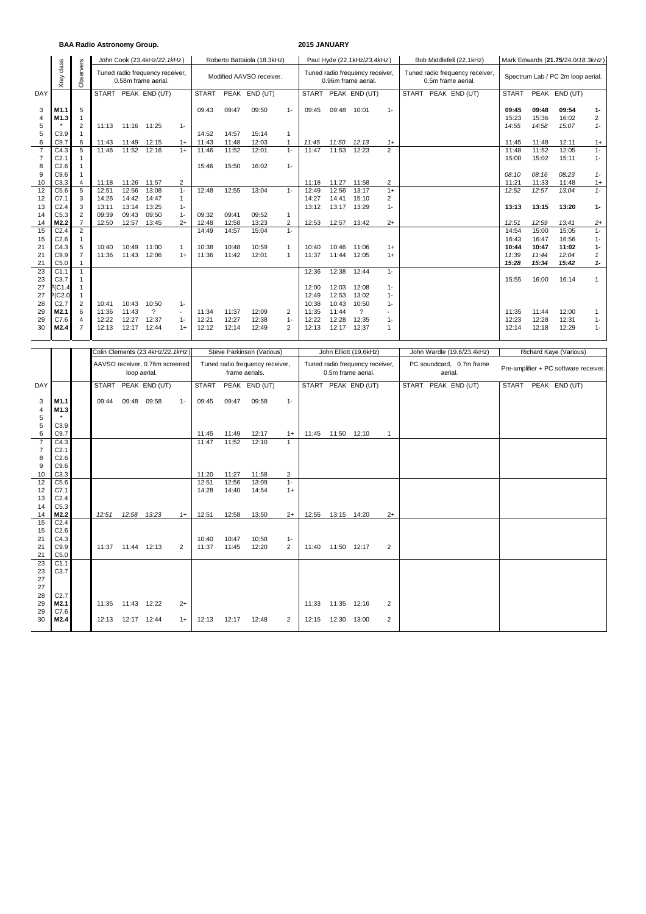### **BAA Radio Astronomy Group. 2015 JANUARY**

|                |                  |                |       |       | John Cook (23.4kHz/22.1kHz)                            |              |              |                          | Roberto Battaiola (18.3kHz) |              |                                                        |       | Paul Hyde (22.1kHz/23.4kHz) |                    |                                 | Bob Middlefell (22.1kHz) |                                   |              | Mark Edwards (21.75/24.0/18.3kHz) |               |                |  |  |
|----------------|------------------|----------------|-------|-------|--------------------------------------------------------|--------------|--------------|--------------------------|-----------------------------|--------------|--------------------------------------------------------|-------|-----------------------------|--------------------|---------------------------------|--------------------------|-----------------------------------|--------------|-----------------------------------|---------------|----------------|--|--|
|                | class<br>Xray    | Observers      |       |       | Tuned radio frequency receiver,<br>0.58m frame aerial. |              |              | Modified AAVSO receiver. |                             |              | Tuned radio frequency receiver,<br>0.96m frame aerial. |       |                             | 0.5m frame aerial. | Tuned radio frequency receiver, |                          | Spectrum Lab / PC 2m loop aerial. |              |                                   |               |                |  |  |
| DAY            |                  |                |       |       | START PEAK END (UT)                                    |              | <b>START</b> |                          | PEAK END (UT)               |              |                                                        |       | START PEAK END (UT)         |                    | START                           | PEAK END (UT)            |                                   | <b>START</b> |                                   | PEAK END (UT) |                |  |  |
| 3              | M1.1             | 5              |       |       |                                                        |              | 09:43        | 09:47                    | 09:50                       | $1 -$        | 09:45                                                  | 09:48 | 10:01                       | $1 -$              |                                 |                          |                                   | 09:45        | 09:48                             | 09:54         | $1-$           |  |  |
| 4              | M1.3             | 1              |       |       |                                                        |              |              |                          |                             |              |                                                        |       |                             |                    |                                 |                          |                                   | 15:23        | 15:36                             | 16:02         | $\overline{c}$ |  |  |
| 5              |                  | $\overline{2}$ | 11:13 | 11:16 | 11:25                                                  | $1 -$        |              |                          |                             |              |                                                        |       |                             |                    |                                 |                          |                                   | 14:55        | 14:58                             | 15:07         | $1 -$          |  |  |
| 5              | C3.9             | 1              |       |       |                                                        |              | 14:52        | 14:57                    | 15:14                       | $\mathbf{1}$ |                                                        |       |                             |                    |                                 |                          |                                   |              |                                   |               |                |  |  |
| 6              | C9.7             | 6              | 11:43 | 11:49 | 12:15                                                  | $1+$         | 11:43        | 11:48                    | 12:03                       |              | 11:45                                                  | 11:50 | 12:13                       | $1+$               |                                 |                          |                                   | 11:45        | 11:48                             | 12:11         | $1+$           |  |  |
| $\overline{7}$ | C4.3             | 5              | 11:46 | 11:52 | 12:16                                                  | $1+$         | 11:46        | 11:52                    | 12:01                       | $1 -$        | 11:47                                                  | 11:53 | 12:23                       | $\overline{2}$     |                                 |                          |                                   | 11:48        | 11:52                             | 12:05         | $1 -$          |  |  |
|                | C <sub>2.1</sub> |                |       |       |                                                        |              |              |                          |                             |              |                                                        |       |                             |                    |                                 |                          |                                   | 15:00        | 15:02                             | 15:11         | $1 -$          |  |  |
| 8              | C2.6             | 1              |       |       |                                                        |              | 15:46        | 15:50                    | 16:02                       | $1 -$        |                                                        |       |                             |                    |                                 |                          |                                   |              |                                   |               |                |  |  |
| 9              | C9.6             | 1              |       |       |                                                        |              |              |                          |                             |              |                                                        |       |                             |                    |                                 |                          |                                   | 08:10        | 08:16                             | 08:23         | $1 -$          |  |  |
| 10             | C3.3             | $\overline{4}$ | 11:18 | 11:26 | 11:57                                                  | 2            |              |                          |                             |              | 11:18                                                  | 11:27 | 11:58                       | $\overline{2}$     |                                 |                          |                                   | 11:21        | 11:33                             | 11:48         | $1+$           |  |  |
| 12             | C5.6             | 5              | 12:51 | 12:56 | 13:08                                                  | $1 -$        | 12:48        | 12:55                    | 13:04                       | $1 -$        | 12:49                                                  | 12:56 | 13:17                       | $1+$               |                                 |                          |                                   | 12:52        | 12:57                             | 13:04         | $1 -$          |  |  |
| 12             | C7.1             | 3              | 14:26 | 14:42 | 14:47                                                  | $\mathbf{1}$ |              |                          |                             |              | 14:27                                                  | 14:41 | 15:10                       | $\overline{2}$     |                                 |                          |                                   |              |                                   |               |                |  |  |
| 13             | C <sub>2.4</sub> | 3              | 13:11 | 13:14 | 13:25                                                  | $1 -$        |              |                          |                             |              | 13:12                                                  | 13:17 | 13:29                       | $1 -$              |                                 |                          |                                   | 13:13        | 13:15                             | 13:20         | $1 -$          |  |  |
| 14             | C <sub>5.3</sub> | 2              | 09:39 | 09:43 | 09:50                                                  | $1 -$        | 09:32        | 09:41                    | 09:52                       |              |                                                        |       |                             |                    |                                 |                          |                                   |              |                                   |               |                |  |  |
| 14             | M2.2             | $\overline{7}$ | 12:50 | 12:57 | 13:45                                                  | $2+$         | 12:48        | 12:58                    | 13:23                       | 2            | 12:53                                                  | 12:57 | 13:42                       | $2+$               |                                 |                          |                                   | 12:51        | 12:59                             | 13:41         | $2+$           |  |  |
| 15             | C <sub>2.4</sub> | $\overline{2}$ |       |       |                                                        |              | 14:49        | 14:57                    | 15:04                       | $1 -$        |                                                        |       |                             |                    |                                 |                          |                                   | 14:54        | 15:00                             | 15:05         | $1 -$          |  |  |
| 15             | C2.6             |                |       |       |                                                        |              |              |                          |                             |              |                                                        |       |                             |                    |                                 |                          |                                   | 16:43        | 16:47                             | 16:56         | $1 -$          |  |  |
| 21             | C4.3             | 5              | 10:40 | 10:49 | 11:00                                                  | 1            | 10:38        | 10:48                    | 10:59                       | 1            | 10:40                                                  | 10:46 | 11:06                       | $1+$               |                                 |                          |                                   | 10:44        | 10:47                             | 11:02         | $1 -$          |  |  |
| 21             | C9.9             | $\overline{7}$ | 11:36 | 11:43 | 12:06                                                  | $1+$         | 11:36        | 11:42                    | 12:01                       | 1            | 11:37                                                  | 11:44 | 12:05                       | $1+$               |                                 |                          |                                   | 11:39        | 11:44                             | 12:04         | 1              |  |  |
| 21             | C <sub>5.0</sub> |                |       |       |                                                        |              |              |                          |                             |              |                                                        |       |                             |                    |                                 |                          |                                   | 15:28        | 15:34                             | 15:42         | $1 -$          |  |  |
| 23             | C <sub>1.1</sub> | 1              |       |       |                                                        |              |              |                          |                             |              | 12:36                                                  | 12:38 | 12:44                       | $1 -$              |                                 |                          |                                   |              |                                   |               |                |  |  |
| 23             | C3.7             | 1              |       |       |                                                        |              |              |                          |                             |              |                                                        |       |                             |                    |                                 |                          |                                   | 15:55        | 16:00                             | 16:14         | $\mathbf{1}$   |  |  |
| 27             | $?$ (C1.4        | 1              |       |       |                                                        |              |              |                          |                             |              | 12:00                                                  | 12:03 | 12:08                       | $1 -$              |                                 |                          |                                   |              |                                   |               |                |  |  |
| 27             | (C2.0)           |                |       |       |                                                        |              |              |                          |                             |              | 12:49                                                  | 12:53 | 13:02                       | $1 -$              |                                 |                          |                                   |              |                                   |               |                |  |  |
| 28             | C <sub>2.7</sub> | $\overline{2}$ | 10:41 | 10:43 | 10:50                                                  | $1 -$        |              |                          |                             |              | 10:38                                                  | 10:43 | 10:50                       | $1 -$              |                                 |                          |                                   |              |                                   |               |                |  |  |
| 29             | M <sub>2.1</sub> | 6              | 11:36 | 11:43 | $\overline{\mathbf{?}}$                                | $\sim$       | 11:34        | 11:37                    | 12:09                       | 2            | 11:35                                                  | 11:44 | $\overline{\mathcal{E}}$    |                    |                                 |                          |                                   | 11:35        | 11:44                             | 12:00         | 1              |  |  |
| 29             | C7.6             | 4              | 12:22 | 12:27 | 12:37                                                  | $1 -$        | 12:21        | 12:27                    | 12:38                       | $1 -$        | 12:22                                                  | 12:28 | 12:35                       | $1 -$              |                                 |                          |                                   | 12:23        | 12:28                             | 12:31         | $1 -$          |  |  |
| 30             | M2.4             | $\overline{7}$ | 12:13 | 12:17 | 12:44                                                  | $1+$         | 12:12        | 12:14                    | 12:49                       | 2            | 12:13                                                  | 12:17 | 12:37                       | $\overline{1}$     |                                 |                          |                                   | 12:14        | 12:18                             | 12:29         | $1 -$          |  |  |

|                                       |                                  |       |             | Colin Clements (23.4kHz/22.1kHz)               |                |                |                | Steve Parkinson (Various)                         |                         |       |             | John Elliott (19.6kHz)                                |                |                     | John Wardle (19.6/23.4kHz) | Richard Kaye (Various)                |  |               |  |  |  |
|---------------------------------------|----------------------------------|-------|-------------|------------------------------------------------|----------------|----------------|----------------|---------------------------------------------------|-------------------------|-------|-------------|-------------------------------------------------------|----------------|---------------------|----------------------------|---------------------------------------|--|---------------|--|--|--|
|                                       |                                  |       |             | AAVSO receiver, 0.76m screened<br>loop aerial. |                |                |                | Tuned radio frequency receiver,<br>frame aerials. |                         |       |             | Tuned radio frequency receiver,<br>0.5m frame aerial. |                | aerial.             | PC soundcard, 0.7m frame   | Pre-amplifier + PC software receiver. |  |               |  |  |  |
| DAY                                   |                                  |       |             | START PEAK END (UT)                            |                | <b>START</b>   |                | PEAK END (UT)                                     |                         |       |             | START PEAK END (UT)                                   |                | START PEAK END (UT) |                            | <b>START</b>                          |  | PEAK END (UT) |  |  |  |
| 3<br>$\overline{4}$<br>5              | M1.1<br>M1.3                     | 09:44 | 09:48       | 09:58                                          | $1 -$          | 09:45          | 09:47          | 09:58                                             | $1 -$                   |       |             |                                                       |                |                     |                            |                                       |  |               |  |  |  |
| 5<br>6                                | C3.9<br>C9.7                     |       |             |                                                |                | 11:45          | 11:49          | 12:17                                             | $1+$                    | 11:45 | 11:50 12:10 |                                                       | $\mathbf{1}$   |                     |                            |                                       |  |               |  |  |  |
| $\overline{7}$<br>$\overline{7}$<br>8 | C4.3<br>C <sub>2.1</sub><br>C2.6 |       |             |                                                |                | 11:47          | 11:52          | 12:10                                             |                         |       |             |                                                       |                |                     |                            |                                       |  |               |  |  |  |
| 9<br>10                               | C9.6<br>C3.3                     |       |             |                                                |                | 11:20          | 11:27          | 11:58                                             | 2                       |       |             |                                                       |                |                     |                            |                                       |  |               |  |  |  |
| 12                                    | C5.6                             |       |             |                                                |                | 12:51          | 12:56          | 13:09                                             | $1 -$                   |       |             |                                                       |                |                     |                            |                                       |  |               |  |  |  |
| 12<br>13                              | C7.1<br>C <sub>2.4</sub>         |       |             |                                                |                | 14:28          | 14:40          | 14:54                                             | $1+$                    |       |             |                                                       |                |                     |                            |                                       |  |               |  |  |  |
| 14                                    | C5.3                             |       |             |                                                |                |                |                |                                                   |                         |       |             |                                                       |                |                     |                            |                                       |  |               |  |  |  |
| 14<br>15                              | M2.2<br>C <sub>2.4</sub>         | 12:51 | 12:58       | 13:23                                          | $1+$           | 12:51          | 12:58          | 13:50                                             | $2+$                    | 12:55 | 13:15 14:20 |                                                       | $2+$           |                     |                            |                                       |  |               |  |  |  |
| 15<br>21<br>21<br>21                  | C2.6<br>C4.3<br>C9.9<br>C5.0     | 11:37 | 11:44 12:13 |                                                | $\overline{2}$ | 10:40<br>11:37 | 10:47<br>11:45 | 10:58<br>12:20                                    | $1 -$<br>$\overline{2}$ | 11:40 | 11:50 12:17 |                                                       | $\overline{2}$ |                     |                            |                                       |  |               |  |  |  |
| 23<br>23<br>27<br>27                  | C1.1<br>C3.7                     |       |             |                                                |                |                |                |                                                   |                         |       |             |                                                       |                |                     |                            |                                       |  |               |  |  |  |
| 28<br>29<br>29                        | C2.7<br>M2.1<br>C7.6             | 11:35 | 11:43 12:22 |                                                | $2+$           |                |                |                                                   |                         | 11:33 | 11:35 12:16 |                                                       | 2              |                     |                            |                                       |  |               |  |  |  |
| 30                                    | M2.4                             | 12:13 | 12:17 12:44 |                                                | $1+$           | 12:13          | 12:17          | 12:48                                             | 2                       | 12:15 | 12:30 13:00 |                                                       | 2              |                     |                            |                                       |  |               |  |  |  |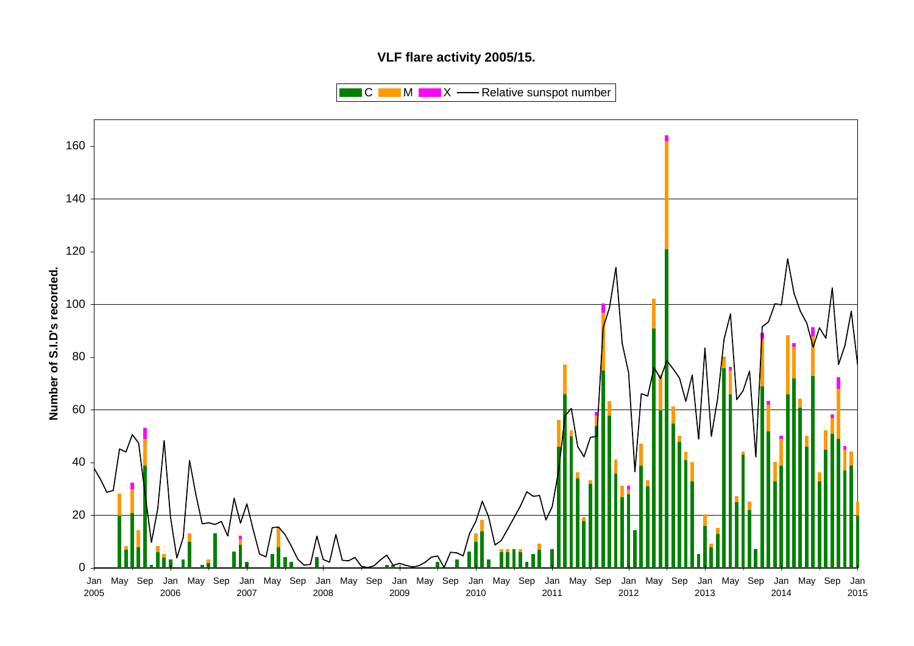## **VLF flare activity 2005/15.**

 $\blacksquare$  C  $\blacksquare$  M  $\blacksquare$   $\blacksquare$  X  $\blacksquare$  Relative sunspot number

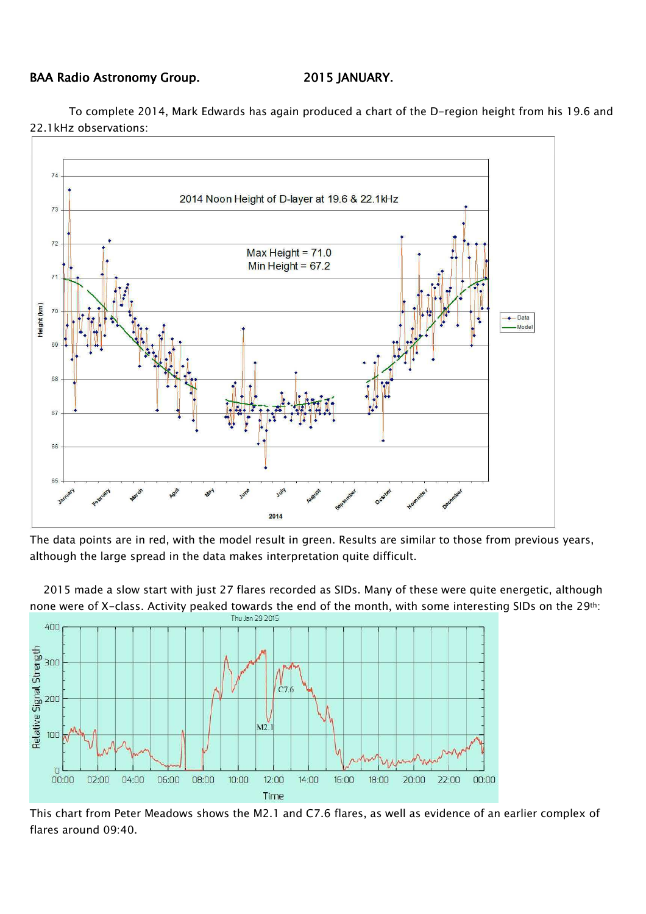### BAA Radio Astronomy Group. 2015 JANUARY.

To complete 2014, Mark Edwards has again produced a chart of the D-region height from his 19.6 and 22.1kHz observations:



The data points are in red, with the model result in green. Results are similar to those from previous years, although the large spread in the data makes interpretation quite difficult.

 2015 made a slow start with just 27 flares recorded as SIDs. Many of these were quite energetic, although none were of X-class. Activity peaked towards the end of the month, with some interesting SIDs on the 29<sup>th</sup>:<br>
Thu Jan 29 2015



This chart from Peter Meadows shows the M2.1 and C7.6 flares, as well as evidence of an earlier complex of flares around 09:40.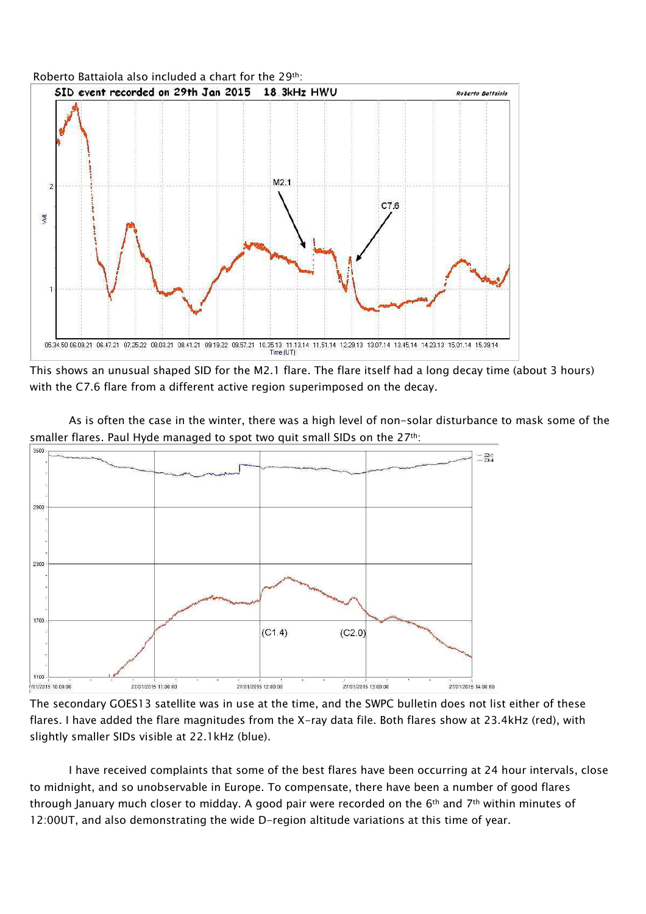

This shows an unusual shaped SID for the M2.1 flare. The flare itself had a long decay time (about 3 hours) with the C7.6 flare from a different active region superimposed on the decay.





The secondary GOES13 satellite was in use at the time, and the SWPC bulletin does not list either of these flares. I have added the flare magnitudes from the X-ray data file. Both flares show at 23.4kHz (red), with slightly smaller SIDs visible at 22.1kHz (blue).

I have received complaints that some of the best flares have been occurring at 24 hour intervals, close to midnight, and so unobservable in Europe. To compensate, there have been a number of good flares through January much closer to midday. A good pair were recorded on the 6<sup>th</sup> and 7<sup>th</sup> within minutes of 12:00UT, and also demonstrating the wide D-region altitude variations at this time of year.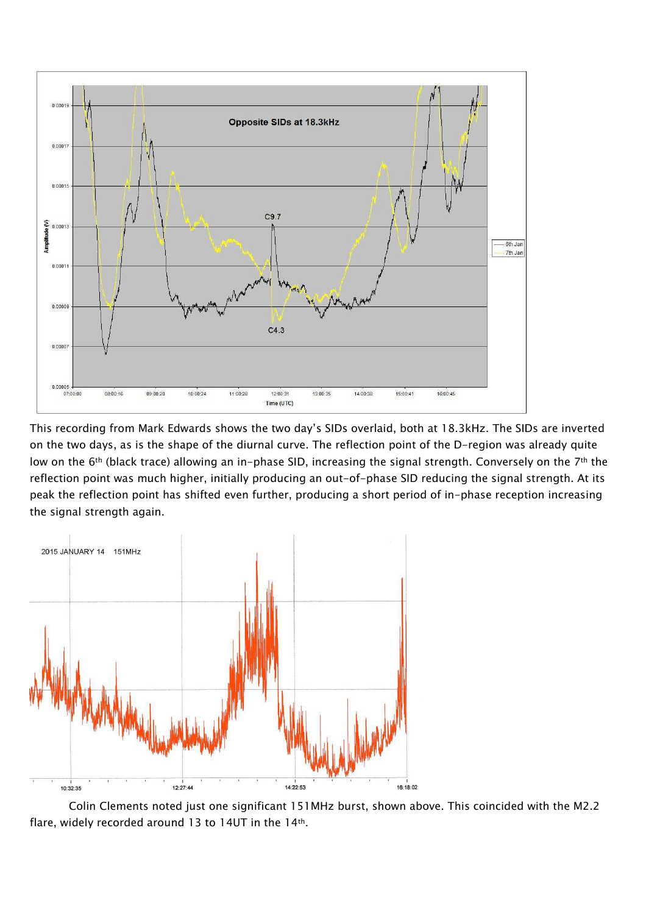

This recording from Mark Edwards shows the two day's SIDs overlaid, both at 18.3kHz. The SIDs are inverted on the two days, as is the shape of the diurnal curve. The reflection point of the D-region was already quite low on the 6<sup>th</sup> (black trace) allowing an in-phase SID, increasing the signal strength. Conversely on the 7<sup>th</sup> the reflection point was much higher, initially producing an out-of-phase SID reducing the signal strength. At its peak the reflection point has shifted even further, producing a short period of in-phase reception increasing the signal strength again.



Colin Clements noted just one significant 151MHz burst, shown above. This coincided with the M2.2 flare, widely recorded around 13 to 14UT in the 14th.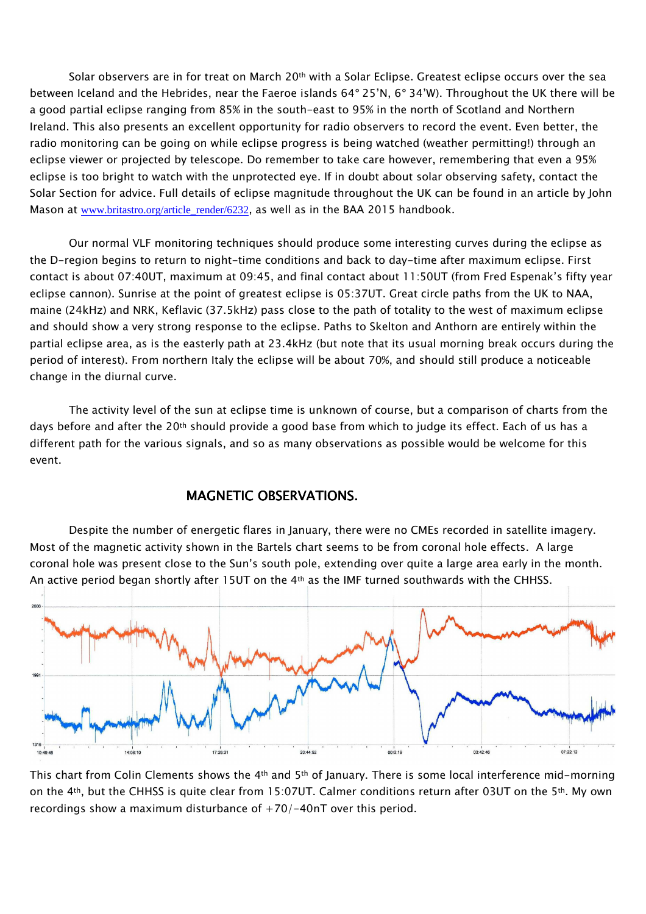Solar observers are in for treat on March 20<sup>th</sup> with a Solar Eclipse. Greatest eclipse occurs over the sea between Iceland and the Hebrides, near the Faeroe islands 64° 25'N, 6° 34'W). Throughout the UK there will be a good partial eclipse ranging from 85% in the south-east to 95% in the north of Scotland and Northern Ireland. This also presents an excellent opportunity for radio observers to record the event. Even better, the radio monitoring can be going on while eclipse progress is being watched (weather permitting!) through an eclipse viewer or projected by telescope. Do remember to take care however, remembering that even a 95% eclipse is too bright to watch with the unprotected eye. If in doubt about solar observing safety, contact the Solar Section for advice. Full details of eclipse magnitude throughout the UK can be found in an article by John Mason at www.britastro.org/article\_render/6232, as well as in the BAA 2015 handbook.

Our normal VLF monitoring techniques should produce some interesting curves during the eclipse as the D-region begins to return to night-time conditions and back to day-time after maximum eclipse. First contact is about 07:40UT, maximum at 09:45, and final contact about 11:50UT (from Fred Espenak's fifty year eclipse cannon). Sunrise at the point of greatest eclipse is 05:37UT. Great circle paths from the UK to NAA, maine (24kHz) and NRK, Keflavic (37.5kHz) pass close to the path of totality to the west of maximum eclipse and should show a very strong response to the eclipse. Paths to Skelton and Anthorn are entirely within the partial eclipse area, as is the easterly path at 23.4kHz (but note that its usual morning break occurs during the period of interest). From northern Italy the eclipse will be about 70%, and should still produce a noticeable change in the diurnal curve.

The activity level of the sun at eclipse time is unknown of course, but a comparison of charts from the days before and after the 20<sup>th</sup> should provide a good base from which to judge its effect. Each of us has a different path for the various signals, and so as many observations as possible would be welcome for this event.

## MAGNETIC OBSERVATIONS.

Despite the number of energetic flares in January, there were no CMEs recorded in satellite imagery. Most of the magnetic activity shown in the Bartels chart seems to be from coronal hole effects. A large coronal hole was present close to the Sun's south pole, extending over quite a large area early in the month. An active period began shortly after 15UT on the 4<sup>th</sup> as the IMF turned southwards with the CHHSS.



This chart from Colin Clements shows the 4<sup>th</sup> and 5<sup>th</sup> of January. There is some local interference mid-morning on the 4th, but the CHHSS is quite clear from 15:07UT. Calmer conditions return after 03UT on the 5th. My own recordings show a maximum disturbance of  $+70/-40$ nT over this period.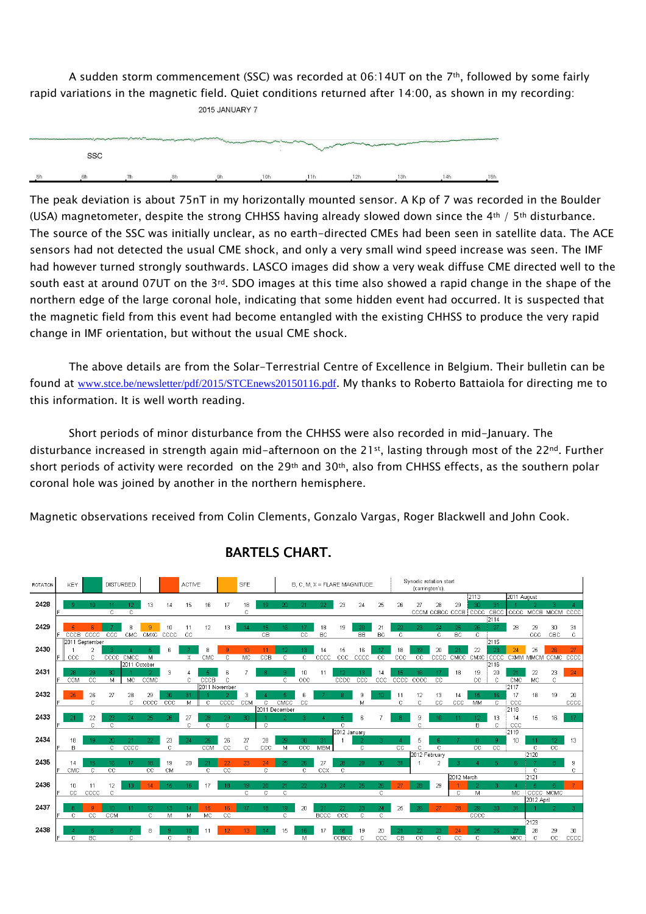A sudden storm commencement (SSC) was recorded at 06:14UT on the 7<sup>th</sup>, followed by some fairly rapid variations in the magnetic field. Quiet conditions returned after 14:00, as shown in my recording: 2015 JANUARY 7

| port and an experimental construction of the construction of the construction of the construction of the construction of the construction of the construction of the construction of the construction of the construction of t |  | manager |     | <b>Martin</b> |     | <b>CONTRACTORY AND INCOME.</b> |     |     |
|--------------------------------------------------------------------------------------------------------------------------------------------------------------------------------------------------------------------------------|--|---------|-----|---------------|-----|--------------------------------|-----|-----|
| SSC                                                                                                                                                                                                                            |  |         |     |               |     |                                |     |     |
| ĥh                                                                                                                                                                                                                             |  |         | 10h |               | 12h | 13h                            | 14h | 15h |

The peak deviation is about 75nT in my horizontally mounted sensor. A Kp of 7 was recorded in the Boulder (USA) magnetometer, despite the strong CHHSS having already slowed down since the 4<sup>th</sup> / 5<sup>th</sup> disturbance. The source of the SSC was initially unclear, as no earth-directed CMEs had been seen in satellite data. The ACE sensors had not detected the usual CME shock, and only a very small wind speed increase was seen. The IMF had however turned strongly southwards. LASCO images did show a very weak diffuse CME directed well to the south east at around 07UT on the 3<sup>rd</sup>. SDO images at this time also showed a rapid change in the shape of the northern edge of the large coronal hole, indicating that some hidden event had occurred. It is suspected that the magnetic field from this event had become entangled with the existing CHHSS to produce the very rapid change in IMF orientation, but without the usual CME shock.

The above details are from the Solar-Terrestrial Centre of Excellence in Belgium. Their bulletin can be found at www.stce.be/newsletter/pdf/2015/STCEnews20150116.pdf. My thanks to Roberto Battaiola for directing me to this information. It is well worth reading.

Short periods of minor disturbance from the CHHSS were also recorded in mid-January. The disturbance increased in strength again mid-afternoon on the 21st, lasting through most of the 22nd. Further short periods of activity were recorded on the 29<sup>th</sup> and 30<sup>th</sup>, also from CHHSS effects, as the southern polar coronal hole was joined by another in the northern hemisphere.

Magnetic observations received from Colin Clements, Gonzalo Vargas, Roger Blackwell and John Cook.



# BARTELS CHART.